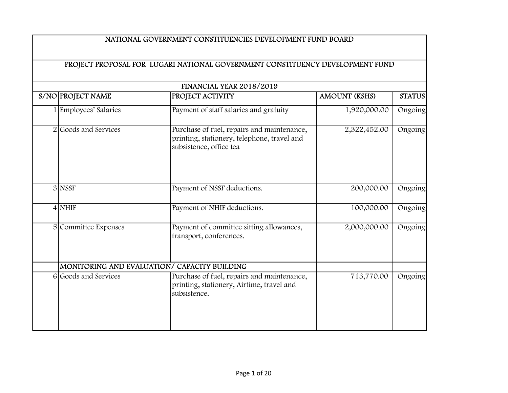| FINANCIAL YEAR 2018/2019 |                                                                                                                      |                      |               |  |
|--------------------------|----------------------------------------------------------------------------------------------------------------------|----------------------|---------------|--|
| S/NO PROJECT NAME        | <b>PROJECT ACTIVITY</b>                                                                                              | <b>AMOUNT (KSHS)</b> | <b>STATUS</b> |  |
| 1 Employees' Salaries    | Payment of staff salaries and gratuity                                                                               | 1,920,000.00         | Ongoing       |  |
| 2 Goods and Services     | Purchase of fuel, repairs and maintenance,<br>printing, stationery, telephone, travel and<br>subsistence, office tea | 2,322,452.00         | Ongoing       |  |
| $3$ NSSF                 | Payment of NSSF deductions.                                                                                          | 200,000.00           | Ongoing       |  |
| $4$ NHIF                 | Payment of NHIF deductions.                                                                                          | 100,000.00           | Ongoing       |  |
| 5 Committee Expenses     | Payment of committee sitting allowances,<br>transport, conferences.                                                  | 2,000,000.00         | Ongoing       |  |
|                          | MONITORING AND EVALUATION/ CAPACITY BUILDING                                                                         |                      |               |  |
| 6 Goods and Services     | Purchase of fuel, repairs and maintenance,<br>printing, stationery, Airtime, travel and<br>subsistence.              | 713,770.00           | Ongoing       |  |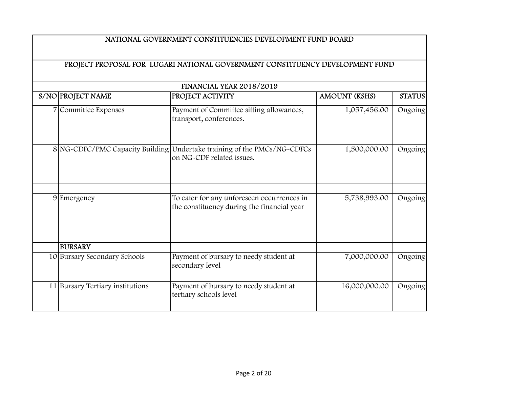| FINANCIAL YEAR 2018/2019 |                                  |                                                                                          |                      |               |  |
|--------------------------|----------------------------------|------------------------------------------------------------------------------------------|----------------------|---------------|--|
|                          | S/NO PROJECT NAME                | <b>PROJECT ACTIVITY</b>                                                                  | <b>AMOUNT (KSHS)</b> | <b>STATUS</b> |  |
|                          | 7 Committee Expenses             | Payment of Committee sitting allowances,<br>transport, conferences.                      | 1,057,456.00         | Ongoing       |  |
|                          | 8 NG-CDFC/PMC Capacity Building  | Undertake training of the PMCs/NG-CDFCs<br>on NG-CDF related issues.                     | 1,500,000.00         | Ongoing       |  |
|                          | 9 Emergency                      | To cater for any unforeseen occurrences in<br>the constituency during the financial year | 5,738,993.00         | Ongoing       |  |
|                          | <b>BURSARY</b>                   |                                                                                          |                      |               |  |
|                          | 10 Bursary Secondary Schools     | Payment of bursary to needy student at<br>secondary level                                | 7,000,000.00         | Ongoing       |  |
|                          | 11 Bursary Tertiary institutions | Payment of bursary to needy student at<br>tertiary schools level                         | 16,000,000.00        | Ongoing       |  |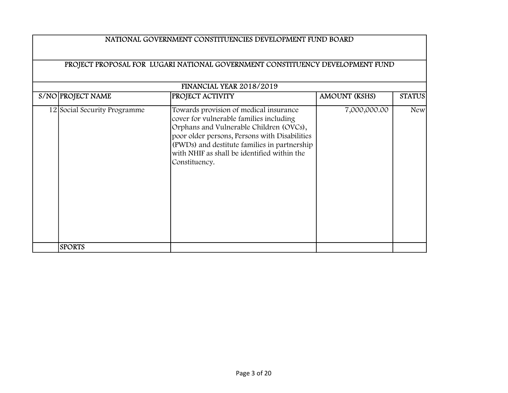| <b>FINANCIAL YEAR 2018/2019</b> |                                                                                                                                                                                                                                                                                               |                      |               |  |  |
|---------------------------------|-----------------------------------------------------------------------------------------------------------------------------------------------------------------------------------------------------------------------------------------------------------------------------------------------|----------------------|---------------|--|--|
| S/NO PROJECT NAME               | <b>PROJECT ACTIVITY</b>                                                                                                                                                                                                                                                                       | <b>AMOUNT (KSHS)</b> | <b>STATUS</b> |  |  |
| 12 Social Security Programme    | Towards provision of medical insurance<br>cover for vulnerable families including<br>Orphans and Vulnerable Children (OVCs),<br>poor older persons, Persons with Disabilities<br>(PWDs) and destitute families in partnership<br>with NHIF as shall be identified within the<br>Constituency. | 7,000,000.00         | <b>New</b>    |  |  |
| <b>SPORTS</b>                   |                                                                                                                                                                                                                                                                                               |                      |               |  |  |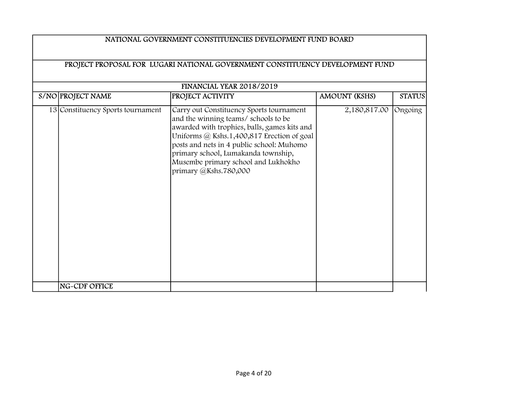| NATIONAL GOVERNMENT CONSTITUENCIES DEVELOPMENT FUND BOARD                     |                                                                                                                                                                                                                                                                                                                                    |                      |               |  |
|-------------------------------------------------------------------------------|------------------------------------------------------------------------------------------------------------------------------------------------------------------------------------------------------------------------------------------------------------------------------------------------------------------------------------|----------------------|---------------|--|
| PROJECT PROPOSAL FOR LUGARI NATIONAL GOVERNMENT CONSTITUENCY DEVELOPMENT FUND |                                                                                                                                                                                                                                                                                                                                    |                      |               |  |
| S/NO PROJECT NAME                                                             | FINANCIAL YEAR 2018/2019<br><b>PROJECT ACTIVITY</b>                                                                                                                                                                                                                                                                                | <b>AMOUNT (KSHS)</b> | <b>STATUS</b> |  |
|                                                                               |                                                                                                                                                                                                                                                                                                                                    |                      |               |  |
| 13 Constituency Sports tournament                                             | Carry out Constituency Sports tournament<br>and the winning teams/ schools to be<br>awarded with trophies, balls, games kits and<br>Uniforms @ Kshs.1,400,817 Erection of goal<br>posts and nets in 4 public school: Muhomo<br>primary school, Lumakanda township,<br>Musembe primary school and Lukhokho<br>primary @Kshs.780,000 | 2,180,817.00         | Ongoing       |  |
| NG-CDF OFFICE                                                                 |                                                                                                                                                                                                                                                                                                                                    |                      |               |  |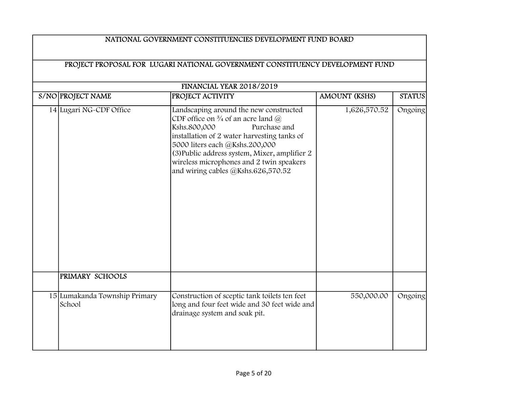# S/NO PROJECT NAME PROJECT ACTIVITY AMOUNT (KSHS) STATUS NATIONAL GOVERNMENT CONSTITUENCIES DEVELOPMENT FUND BOARD PROJECT PROPOSAL FOR LUGARI NATIONAL GOVERNMENT CONSTITUENCY DEVELOPMENT FUND FINANCIAL YEAR 2018/2019 14 Lugari NG-CDF Office Landscaping around the new constructed CDF office on  $\frac{3}{4}$  of an acre land  $\omega$ Kshs.800,000 Purchase and installation of 2 water harvesting tanks of 5000 liters each @Kshs.200,000 (3)Public address system, Mixer, amplifier 2 wireless microphones and 2 twin speakers and wiring cables @Kshs.626,570.52 1,626,570.52 Ongoing PRIMARY SCHOOLS 15 Lumakanda Township Primary School Construction of sceptic tank toilets ten feet long and four feet wide and 30 feet wide and drainage system and soak pit. 550,000.00 Ongoing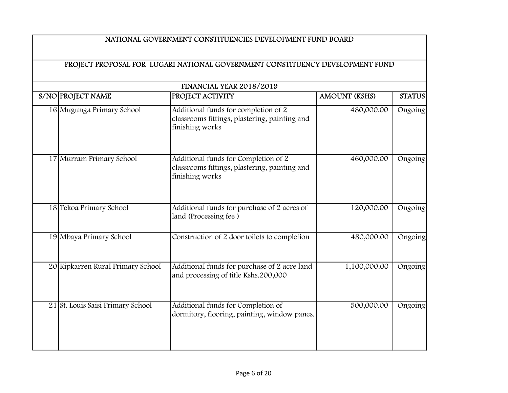|                                   | <b>FINANCIAL YEAR 2018/2019</b>                                                                          |                      |               |
|-----------------------------------|----------------------------------------------------------------------------------------------------------|----------------------|---------------|
| S/NO PROJECT NAME                 | <b>PROJECT ACTIVITY</b>                                                                                  | <b>AMOUNT (KSHS)</b> | <b>STATUS</b> |
| 16 Mugunga Primary School         | Additional funds for completion of 2<br>classrooms fittings, plastering, painting and<br>finishing works | 480,000.00           | Ongoing       |
| 17 Murram Primary School          | Additional funds for Completion of 2<br>classrooms fittings, plastering, painting and<br>finishing works | 460,000.00           | Ongoing       |
| 18 Tekoa Primary School           | Additional funds for purchase of 2 acres of<br>land (Processing fee)                                     | 120,000.00           | Ongoing       |
| 19 Mbaya Primary School           | Construction of 2 door toilets to completion                                                             | 480,000.00           | Ongoing       |
| 20 Kipkarren Rural Primary School | Additional funds for purchase of 2 acre land<br>and processing of title Kshs.200,000                     | 1,100,000.00         | Ongoing       |
| 21 St. Louis Saisi Primary School | Additional funds for Completion of<br>dormitory, flooring, painting, window panes.                       | 500,000.00           | Ongoing       |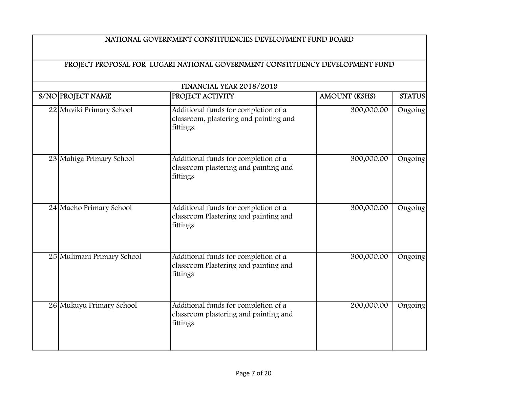|                            | <b>FINANCIAL YEAR 2018/2019</b>                                                             |                      |               |
|----------------------------|---------------------------------------------------------------------------------------------|----------------------|---------------|
| S/NO PROJECT NAME          | PROJECT ACTIVITY                                                                            | <b>AMOUNT (KSHS)</b> | <b>STATUS</b> |
| 22 Muviki Primary School   | Additional funds for completion of a<br>classroom, plastering and painting and<br>fittings. | 300,000.00           | Ongoing       |
| 23 Mahiga Primary School   | Additional funds for completion of a<br>classroom plastering and painting and<br>fittings   | 300,000.00           | Ongoing       |
| 24 Macho Primary School    | Additional funds for completion of a<br>classroom Plastering and painting and<br>fittings   | 300,000.00           | Ongoing       |
| 25 Mulimani Primary School | Additional funds for completion of a<br>classroom Plastering and painting and<br>fittings   | 300,000.00           | Ongoing       |
| 26 Mukuyu Primary School   | Additional funds for completion of a<br>classroom plastering and painting and<br>fittings   | 200,000.00           | Ongoing       |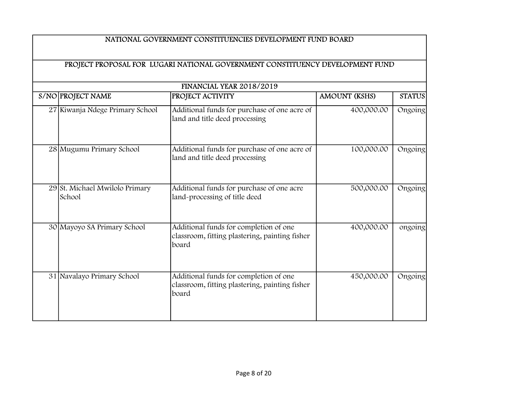| FINANCIAL YEAR 2018/2019 |                                          |                                                                                                   |                      |               |
|--------------------------|------------------------------------------|---------------------------------------------------------------------------------------------------|----------------------|---------------|
|                          | S/NO PROJECT NAME                        | <b>PROJECT ACTIVITY</b>                                                                           | <b>AMOUNT (KSHS)</b> | <b>STATUS</b> |
|                          | 27 Kiwanja Ndege Primary School          | Additional funds for purchase of one acre of<br>land and title deed processing                    | 400,000.00           | Ongoing       |
|                          | 28 Mugumu Primary School                 | Additional funds for purchase of one acre of<br>land and title deed processing                    | 100,000.00           | Ongoing       |
|                          | 29 St. Michael Mwilolo Primary<br>School | Additional funds for purchase of one acre<br>land-processing of title deed                        | 500,000.00           | Ongoing       |
|                          | 30 Mayoyo SA Primary School              | Additional funds for completion of one<br>classroom, fitting plastering, painting fisher<br>board | 400,000.00           | ongoing       |
|                          | 31 Navalayo Primary School               | Additional funds for completion of one<br>classroom, fitting plastering, painting fisher<br>board | 450,000.00           | Ongoing       |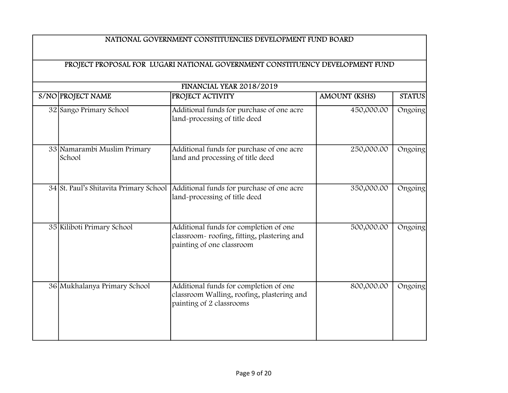|                                        | FINANCIAL YEAR 2018/2019                                                                                          |                      |               |
|----------------------------------------|-------------------------------------------------------------------------------------------------------------------|----------------------|---------------|
| S/NO PROJECT NAME                      | PROJECT ACTIVITY                                                                                                  | <b>AMOUNT (KSHS)</b> | <b>STATUS</b> |
| 32 Sango Primary School                | Additional funds for purchase of one acre<br>land-processing of title deed                                        | 450,000.00           | Ongoing       |
| 33 Namarambi Muslim Primary<br>School  | Additional funds for purchase of one acre<br>land and processing of title deed                                    | 250,000.00           | Ongoing       |
| 34 St. Paul's Shitavita Primary School | Additional funds for purchase of one acre<br>land-processing of title deed                                        | 350,000.00           | Ongoing       |
| 35 Kiliboti Primary School             | Additional funds for completion of one<br>classroom-roofing, fitting, plastering and<br>painting of one classroom | 500,000.00           | Ongoing       |
| 36 Mukhalanya Primary School           | Additional funds for completion of one<br>classroom Walling, roofing, plastering and<br>painting of 2 classrooms  | 800,000.00           | Ongoing       |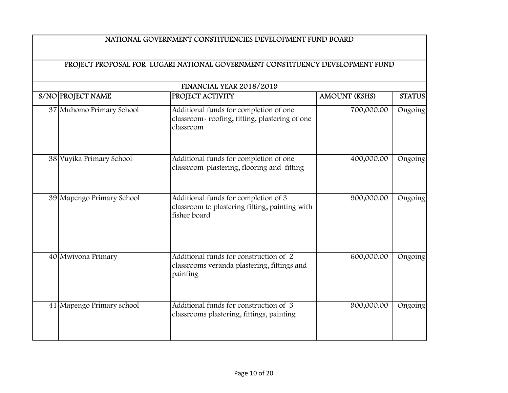|                           | FINANCIAL YEAR 2018/2019                                                                               |                      |               |
|---------------------------|--------------------------------------------------------------------------------------------------------|----------------------|---------------|
| S/NO PROJECT NAME         | PROJECT ACTIVITY                                                                                       | <b>AMOUNT (KSHS)</b> | <b>STATUS</b> |
| 37 Muhomo Primary School  | Additional funds for completion of one<br>classroom-roofing, fitting, plastering of one<br>classroom   | 700,000.00           | Ongoing       |
| 38 Vuyika Primary School  | Additional funds for completion of one<br>classroom-plastering, flooring and fitting                   | 400,000.00           | Ongoing       |
| 39 Mapengo Primary School | Additional funds for completion of 3<br>classroom to plastering fitting, painting with<br>fisher board | 900,000.00           | Ongoing       |
| 40 Mwivona Primary        | Additional funds for construction of 2<br>classrooms veranda plastering, fittings and<br>painting      | 600,000.00           | Ongoing       |
| 41 Mapengo Primary school | Additional funds for construction of 3<br>classrooms plastering, fittings, painting                    | 900,000.00           | Ongoing       |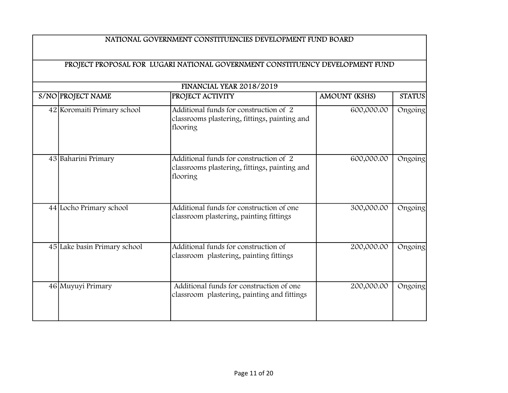|                              | FINANCIAL YEAR 2018/2019                                                                            |                      |               |
|------------------------------|-----------------------------------------------------------------------------------------------------|----------------------|---------------|
| S/NO PROJECT NAME            | <b>PROJECT ACTIVITY</b>                                                                             | <b>AMOUNT (KSHS)</b> | <b>STATUS</b> |
| 42 Koromaiti Primary school  | Additional funds for construction of 2<br>classrooms plastering, fittings, painting and<br>flooring | 600,000.00           | Ongoing       |
| 43 Baharini Primary          | Additional funds for construction of 2<br>classrooms plastering, fittings, painting and<br>flooring | 600,000.00           | Ongoing       |
| 44 Locho Primary school      | Additional funds for construction of one<br>classroom plastering, painting fittings                 | 300,000.00           | Ongoing       |
| 45 Lake basin Primary school | Additional funds for construction of<br>classroom plastering, painting fittings                     | 200,000.00           | Ongoing       |
| 46 Muyuyi Primary            | Additional funds for construction of one<br>classroom plastering, painting and fittings             | 200,000.00           | Ongoing       |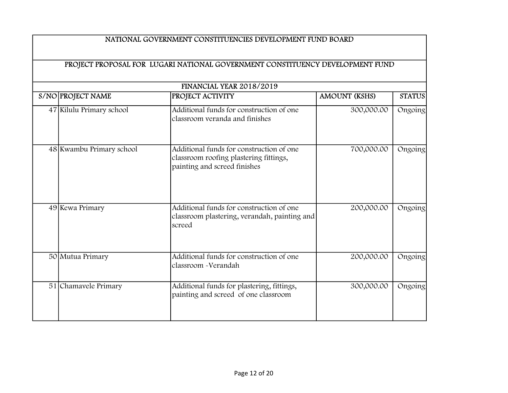|                          | FINANCIAL YEAR 2018/2019                                                                                           |                      |               |
|--------------------------|--------------------------------------------------------------------------------------------------------------------|----------------------|---------------|
| S/NO PROJECT NAME        | <b>PROJECT ACTIVITY</b>                                                                                            | <b>AMOUNT (KSHS)</b> | <b>STATUS</b> |
| 47 Kilulu Primary school | Additional funds for construction of one<br>classroom veranda and finishes                                         | 300,000.00           | Ongoing       |
| 48 Kwambu Primary school | Additional funds for construction of one<br>classroom roofing plastering fittings,<br>painting and screed finishes | 700,000.00           | Ongoing       |
| 49 Kewa Primary          | Additional funds for construction of one<br>classroom plastering, verandah, painting and<br>screed                 | 200,000.00           | Ongoing       |
| 50 Mutua Primary         | Additional funds for construction of one<br>classroom - Verandah                                                   | 200,000.00           | Ongoing       |
| 51 Chamavele Primary     | Additional funds for plastering, fittings,<br>painting and screed of one classroom                                 | 300,000.00           | Ongoing       |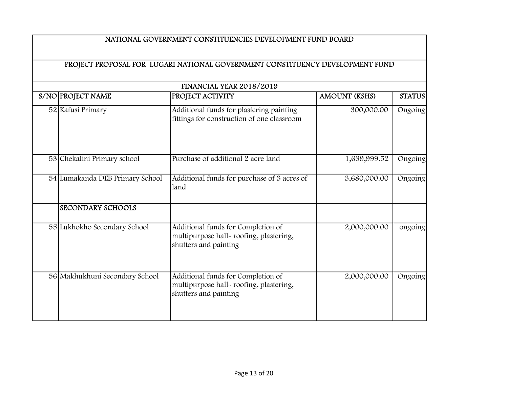|                                 | <b>FINANCIAL YEAR 2018/2019</b>                                                                       |                      |               |
|---------------------------------|-------------------------------------------------------------------------------------------------------|----------------------|---------------|
| S/NO PROJECT NAME               | PROJECT ACTIVITY                                                                                      | <b>AMOUNT (KSHS)</b> | <b>STATUS</b> |
| 52 Kafusi Primary               | Additional funds for plastering painting<br>fittings for construction of one classroom                | 300,000.00           | Ongoing       |
| 53 Chekalini Primary school     | Purchase of additional 2 acre land                                                                    | 1,639,999.52         | Ongoing       |
| 54 Lumakanda DEB Primary School | Additional funds for purchase of 3 acres of<br>land                                                   | 3,680,000.00         | Ongoing       |
| <b>SECONDARY SCHOOLS</b>        |                                                                                                       |                      |               |
| 55 Lukhokho Secondary School    | Additional funds for Completion of<br>multipurpose hall-roofing, plastering,<br>shutters and painting | 2,000,000.00         | ongoing       |
| 56 Makhukhuni Secondary School  | Additional funds for Completion of<br>multipurpose hall-roofing, plastering,<br>shutters and painting | 2,000,000.00         | Ongoing       |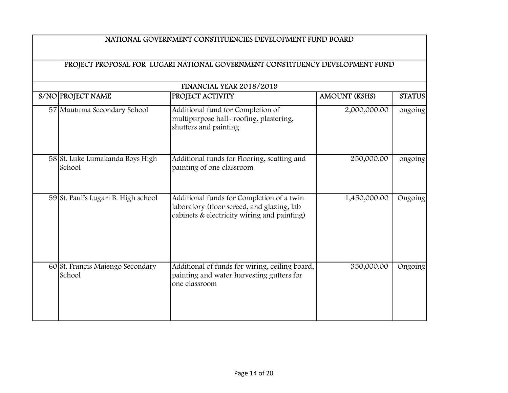| FINANCIAL YEAR 2018/2019 |                                            |                                                                                                                                        |                      |               |  |
|--------------------------|--------------------------------------------|----------------------------------------------------------------------------------------------------------------------------------------|----------------------|---------------|--|
|                          | S/NO PROJECT NAME                          | <b>PROJECT ACTIVITY</b>                                                                                                                | <b>AMOUNT (KSHS)</b> | <b>STATUS</b> |  |
|                          | 57 Mautuma Secondary School                | Additional fund for Completion of<br>multipurpose hall-roofing, plastering,<br>shutters and painting                                   | 2,000,000.00         | ongoing       |  |
|                          | 58 St. Luke Lumakanda Boys High<br>School  | Additional funds for Flooring, scatting and<br>painting of one classroom                                                               | 250,000.00           | ongoing       |  |
|                          | 59 St. Paul's Lugari B. High school        | Additional funds for Completion of a twin<br>laboratory (floor screed, and glazing, lab<br>cabinets & electricity wiring and painting) | 1,450,000.00         | Ongoing       |  |
|                          | 60 St. Francis Majengo Secondary<br>School | Additional of funds for wiring, ceiling board,<br>painting and water harvesting gutters for<br>one classroom                           | 350,000.00           | Ongoing       |  |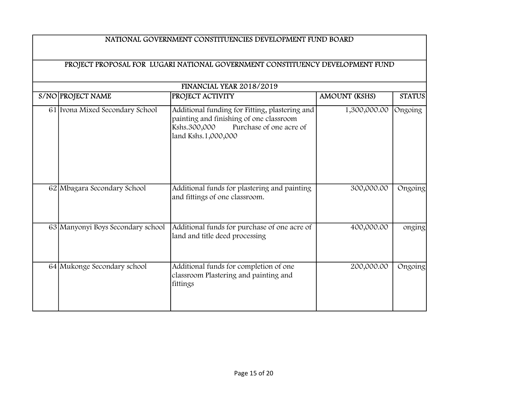| FINANCIAL YEAR 2018/2019 |                                   |                                                                                                                                                             |                      |               |  |
|--------------------------|-----------------------------------|-------------------------------------------------------------------------------------------------------------------------------------------------------------|----------------------|---------------|--|
|                          | S/NO PROJECT NAME                 | <b>PROJECT ACTIVITY</b>                                                                                                                                     | <b>AMOUNT (KSHS)</b> | <b>STATUS</b> |  |
|                          | 61 Ivona Mixed Secondary School   | Additional funding for Fitting, plastering and<br>painting and finishing of one classroom<br>Purchase of one acre of<br>Kshs.300,000<br>land Kshs.1,000,000 | 1,300,000.00         | Ongoing       |  |
|                          | 62 Mbagara Secondary School       | Additional funds for plastering and painting<br>and fittings of one classroom.                                                                              | 300,000.00           | Ongoing       |  |
|                          | 63 Manyonyi Boys Secondary school | Additional funds for purchase of one acre of<br>land and title deed processing                                                                              | 400,000.00           | onging        |  |
|                          | 64 Mukonge Secondary school       | Additional funds for completion of one<br>classroom Plastering and painting and<br>fittings                                                                 | 200,000.00           | Ongoing       |  |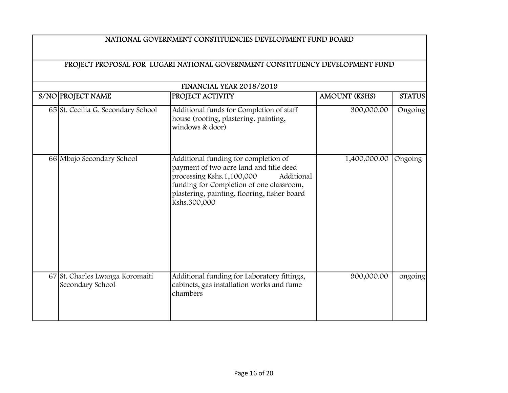| FINANCIAL YEAR 2018/2019 |                                                     |                                                                                                                                                                                                                                        |                      |               |  |
|--------------------------|-----------------------------------------------------|----------------------------------------------------------------------------------------------------------------------------------------------------------------------------------------------------------------------------------------|----------------------|---------------|--|
|                          | S/NO PROJECT NAME                                   | PROJECT ACTIVITY                                                                                                                                                                                                                       | <b>AMOUNT (KSHS)</b> | <b>STATUS</b> |  |
|                          | 65 St. Cecilia G. Secondary School                  | Additional funds for Completion of staff<br>house (roofing, plastering, painting,<br>windows & door)                                                                                                                                   | 300,000.00           | Ongoing       |  |
|                          | 66 Mbajo Secondary School                           | Additional funding for completion of<br>payment of two acre land and title deed<br>processing Kshs.1,100,000<br>Additional<br>funding for Completion of one classroom,<br>plastering, painting, flooring, fisher board<br>Kshs.300,000 | 1,400,000.00         | Ongoing       |  |
|                          | 67 St. Charles Lwanga Koromaiti<br>Secondary School | Additional funding for Laboratory fittings,<br>cabinets, gas installation works and fume<br>chambers                                                                                                                                   | 900,000.00           | ongoing       |  |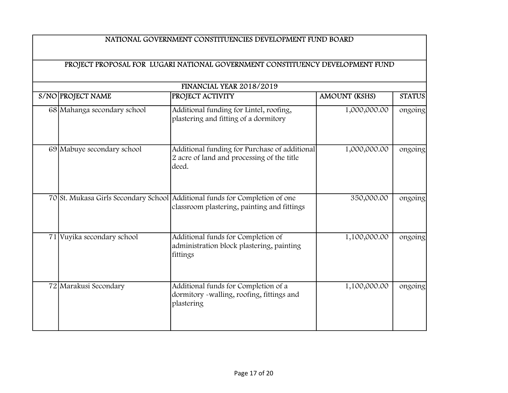| FINANCIAL YEAR 2018/2019 |                             |                                                                                                                            |                      |               |  |
|--------------------------|-----------------------------|----------------------------------------------------------------------------------------------------------------------------|----------------------|---------------|--|
|                          | S/NO PROJECT NAME           | PROJECT ACTIVITY                                                                                                           | <b>AMOUNT (KSHS)</b> | <b>STATUS</b> |  |
|                          | 68 Mahanga secondary school | Additional funding for Lintel, roofing,<br>plastering and fitting of a dormitory                                           | 1,000,000.00         | ongoing       |  |
|                          | 69 Mabuye secondary school  | Additional funding for Purchase of additional<br>2 acre of land and processing of the title<br>deed.                       | 1,000,000.00         | ongoing       |  |
|                          |                             | 70 St. Mukasa Girls Secondary School Additional funds for Completion of one<br>classroom plastering, painting and fittings | 350,000.00           | ongoing       |  |
|                          | 71 Vuyika secondary school  | Additional funds for Completion of<br>administration block plastering, painting<br>fittings                                | 1,100,000.00         | ongoing       |  |
|                          | 72 Marakusi Secondary       | Additional funds for Completion of a<br>dormitory -walling, roofing, fittings and<br>plastering                            | 1,100,000.00         | ongoing       |  |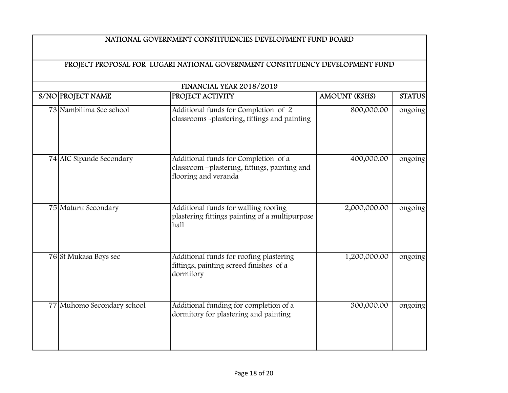| <b>FINANCIAL YEAR 2018/2019</b> |                            |                                                                                                               |                      |               |  |
|---------------------------------|----------------------------|---------------------------------------------------------------------------------------------------------------|----------------------|---------------|--|
|                                 | S/NO PROJECT NAME          | PROJECT ACTIVITY                                                                                              | <b>AMOUNT (KSHS)</b> | <b>STATUS</b> |  |
|                                 | 73 Nambilima Sec school    | Additional funds for Completion of 2<br>classrooms -plastering, fittings and painting                         | 800,000.00           | ongoing       |  |
|                                 | 74 AIC Sipande Secondary   | Additional funds for Completion of a<br>classroom -plastering, fittings, painting and<br>flooring and veranda | 400,000.00           | ongoing       |  |
|                                 | 75 Maturu Secondary        | Additional funds for walling roofing<br>plastering fittings painting of a multipurpose<br>hall                | 2,000,000.00         | ongoing       |  |
|                                 | 76 St Mukasa Boys sec      | Additional funds for roofing plastering<br>fittings, painting screed finishes of a<br>dormitory               | 1,200,000.00         | ongoing       |  |
|                                 | 77 Muhomo Secondary school | Additional funding for completion of a<br>dormitory for plastering and painting                               | 300,000.00           | ongoing       |  |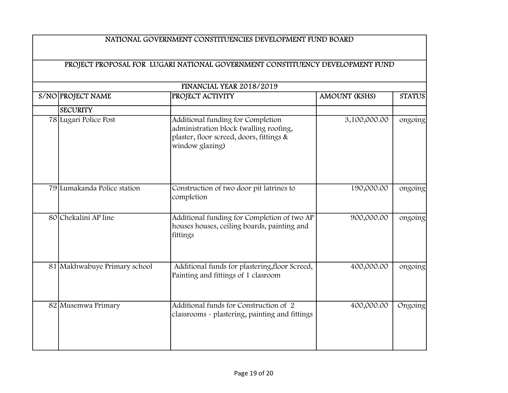| S/NO PROJECT NAME            | PROJECT ACTIVITY                                                                                                                           | <b>AMOUNT (KSHS)</b> | <b>STATUS</b> |
|------------------------------|--------------------------------------------------------------------------------------------------------------------------------------------|----------------------|---------------|
| <b>SECURITY</b>              |                                                                                                                                            |                      |               |
| 78 Lugari Police Post        | Additional funding for Completion<br>administration block (walling roofing,<br>plaster, floor screed, doors, fittings &<br>window glazing) | 3,100,000.00         | ongoing       |
| 79 Lumakanda Police station  | Construction of two door pit latrines to<br>completion                                                                                     | 190,000.00           | ongoing       |
| 80 Chekalini AP line         | Additional funding for Completion of two AP<br>houses houses, ceiling boards, painting and<br>fittings                                     | 900,000.00           | ongoing       |
| 81 Makhwabuye Primary school | Additional funds for plastering, floor Screed,<br>Painting and fittings of 1 clasroom                                                      | 400,000.00           | ongoing       |
| 82 Musemwa Primary           | Additional funds for Construction of 2<br>classrooms - plastering, painting and fittings                                                   | 400,000.00           | Ongoing       |